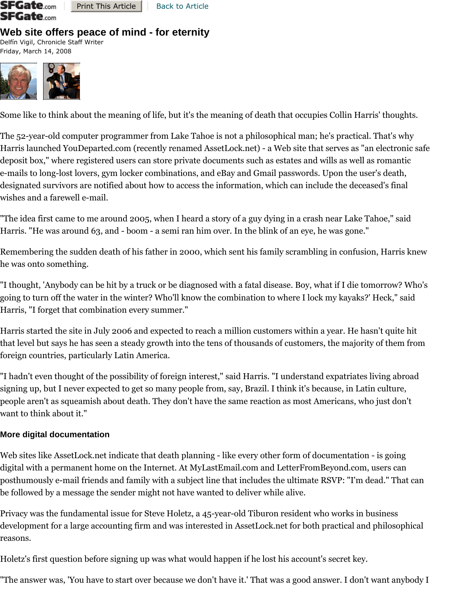

Print This Article | Back to Article

# **Web site offers peace of mind - for eternity**

Delfín Vigil, Chronicle Staff Writer Friday, March 14, 2008



Some like to think about the meaning of life, but it's the meaning of death that occupies Collin Harris' thoughts.

The 52-year-old computer programmer from Lake Tahoe is not a philosophical man; he's practical. That's why Harris launched YouDeparted.com (recently renamed AssetLock.net) - a Web site that serves as "an electronic safe deposit box," where registered users can store private documents such as estates and wills as well as romantic e-mails to long-lost lovers, gym locker combinations, and eBay and Gmail passwords. Upon the user's death, designated survivors are notified about how to access the information, which can include the deceased's final wishes and a farewell e-mail.

"The idea first came to me around 2005, when I heard a story of a guy dying in a crash near Lake Tahoe," said Harris. "He was around 63, and - boom - a semi ran him over. In the blink of an eye, he was gone."

Remembering the sudden death of his father in 2000, which sent his family scrambling in confusion, Harris knew he was onto something.

"I thought, 'Anybody can be hit by a truck or be diagnosed with a fatal disease. Boy, what if I die tomorrow? Who's going to turn off the water in the winter? Who'll know the combination to where I lock my kayaks?' Heck," said Harris, "I forget that combination every summer."

Harris started the site in July 2006 and expected to reach a million customers within a year. He hasn't quite hit that level but says he has seen a steady growth into the tens of thousands of customers, the majority of them from foreign countries, particularly Latin America.

"I hadn't even thought of the possibility of foreign interest," said Harris. "I understand expatriates living abroad signing up, but I never expected to get so many people from, say, Brazil. I think it's because, in Latin culture, people aren't as squeamish about death. They don't have the same reaction as most Americans, who just don't want to think about it."

## **More digital documentation**

Web sites like AssetLock.net indicate that death planning - like every other form of documentation - is going digital with a permanent home on the Internet. At MyLastEmail.com and LetterFromBeyond.com, users can posthumously e-mail friends and family with a subject line that includes the ultimate RSVP: "I'm dead." That can be followed by a message the sender might not have wanted to deliver while alive.

Privacy was the fundamental issue for Steve Holetz, a 45-year-old Tiburon resident who works in business development for a large accounting firm and was interested in AssetLock.net for both practical and philosophical reasons.

Holetz's first question before signing up was what would happen if he lost his account's secret key.

"The answer was, 'You have to start over because we don't have it.' That was a good answer. I don't want anybody I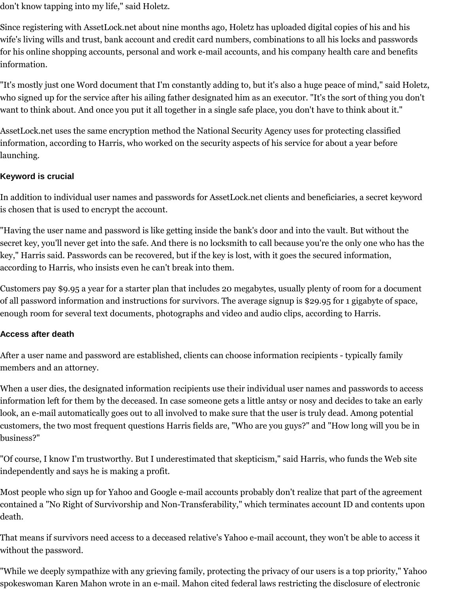don't know tapping into my life," said Holetz.

Since registering with AssetLock.net about nine months ago, Holetz has uploaded digital copies of his and his wife's living wills and trust, bank account and credit card numbers, combinations to all his locks and passwords for his online shopping accounts, personal and work e-mail accounts, and his company health care and benefits information.

"It's mostly just one Word document that I'm constantly adding to, but it's also a huge peace of mind," said Holetz, who signed up for the service after his ailing father designated him as an executor. "It's the sort of thing you don't want to think about. And once you put it all together in a single safe place, you don't have to think about it."

AssetLock.net uses the same encryption method the National Security Agency uses for protecting classified information, according to Harris, who worked on the security aspects of his service for about a year before launching.

### **Keyword is crucial**

In addition to individual user names and passwords for AssetLock.net clients and beneficiaries, a secret keyword is chosen that is used to encrypt the account.

"Having the user name and password is like getting inside the bank's door and into the vault. But without the secret key, you'll never get into the safe. And there is no locksmith to call because you're the only one who has the key," Harris said. Passwords can be recovered, but if the key is lost, with it goes the secured information, according to Harris, who insists even he can't break into them.

Customers pay \$9.95 a year for a starter plan that includes 20 megabytes, usually plenty of room for a document of all password information and instructions for survivors. The average signup is \$29.95 for 1 gigabyte of space, enough room for several text documents, photographs and video and audio clips, according to Harris.

### **Access after death**

After a user name and password are established, clients can choose information recipients - typically family members and an attorney.

When a user dies, the designated information recipients use their individual user names and passwords to access information left for them by the deceased. In case someone gets a little antsy or nosy and decides to take an early look, an e-mail automatically goes out to all involved to make sure that the user is truly dead. Among potential customers, the two most frequent questions Harris fields are, "Who are you guys?" and "How long will you be in business?"

"Of course, I know I'm trustworthy. But I underestimated that skepticism," said Harris, who funds the Web site independently and says he is making a profit.

Most people who sign up for Yahoo and Google e-mail accounts probably don't realize that part of the agreement contained a "No Right of Survivorship and Non-Transferability," which terminates account ID and contents upon death.

That means if survivors need access to a deceased relative's Yahoo e-mail account, they won't be able to access it without the password.

"While we deeply sympathize with any grieving family, protecting the privacy of our users is a top priority," Yahoo spokeswoman Karen Mahon wrote in an e-mail. Mahon cited federal laws restricting the disclosure of electronic